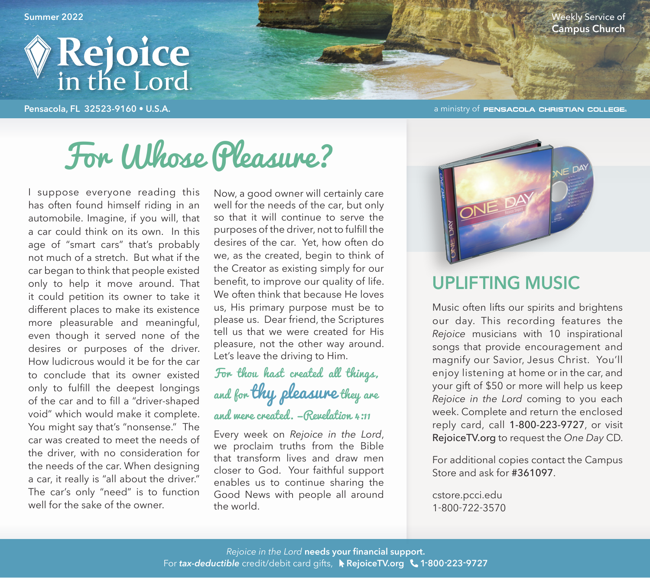

**Pensacola, FL 32523-9160 • U.S.A. COLLEGE COLLEGE COLLEGE COLLEGE COLLEGE COLLEGE** 

**Summer 2022** Weekly Service of **Campus Church**

# For Whose Pleasure?

I suppose everyone reading this has often found himself riding in an automobile. Imagine, if you will, that a car could think on its own. In this age of "smart cars" that's probably not much of a stretch. But what if the car began to think that people existed only to help it move around. That it could petition its owner to take it different places to make its existence more pleasurable and meaningful, even though it served none of the desires or purposes of the driver. How ludicrous would it be for the car to conclude that its owner existed only to fulfill the deepest longings of the car and to fill a "driver-shaped void" which would make it complete. You might say that's "nonsense." The car was created to meet the needs of the driver, with no consideration for the needs of the car. When designing a car, it really is "all about the driver." The car's only "need" is to function well for the sake of the owner.

Now, a good owner will certainly care well for the needs of the car, but only so that it will continue to serve the purposes of the driver, not to fulfill the desires of the car. Yet, how often do we, as the created, begin to think of the Creator as existing simply for our benefit, to improve our quality of life. We often think that because He loves us, His primary purpose must be to please us. Dear friend, the Scriptures

tell us that we were created for His pleasure, not the other way around. Let's leave the driving to Him.

#### For thou hast created all things, and for thy pleasure they are and mere created. - Revelation  $\mu$ :11

Every week on *Rejoice in the Lord*, we proclaim truths from the Bible that transform lives and draw men closer to God. Your faithful support enables us to continue sharing the Good News with people all around the world.



#### **UPLIFTING MUSIC**

Music often lifts our spirits and brightens our day. This recording features the *Rejoice* musicians with 10 inspirational songs that provide encouragement and magnify our Savior, Jesus Christ. You'll enjoy listening at home or in the car, and your gift of \$50 or more will help us keep *Rejoice in the Lord* coming to you each week. Complete and return the enclosed reply card, call 1-800-223-9727, or visit RejoiceTV.org to request the *One Day* CD.

For additional copies contact the Campus Store and ask for #361097.

cstore.pcci.edu 1-800-722-3570